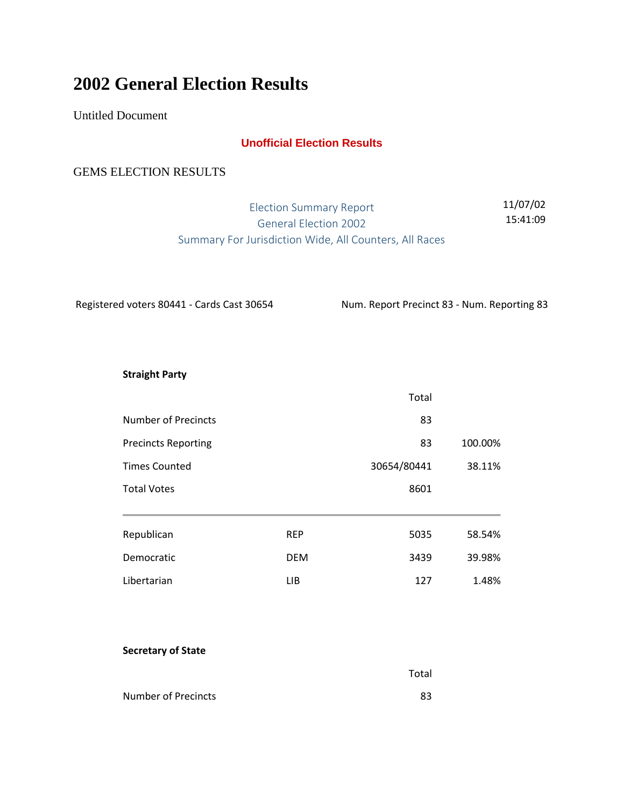# **2002 General Election Results**

Untitled Document

# **Unofficial Election Results**

# GEMS ELECTION RESULTS

Election Summary Report General Election 2002 Summary For Jurisdiction Wide, All Counters, All Races 11/07/02 15:41:09

Registered voters 80441 - Cards Cast 30654 Num. Report Precinct 83 - Num. Reporting 83

Total

**Straight Party**

|                                                    |            | Total       |                   |
|----------------------------------------------------|------------|-------------|-------------------|
| Number of Precincts                                |            | 83          |                   |
| <b>Precincts Reporting</b><br><b>Times Counted</b> |            | 83          | 100.00%<br>38.11% |
|                                                    |            | 30654/80441 |                   |
| <b>Total Votes</b>                                 |            | 8601        |                   |
| Republican                                         | <b>REP</b> | 5035        | 58.54%            |
| Democratic                                         | <b>DEM</b> | 3439        | 39.98%            |
| Libertarian                                        | LIB        | 127         | 1.48%             |

#### **Secretary of State**

| Number of Precincts |  |
|---------------------|--|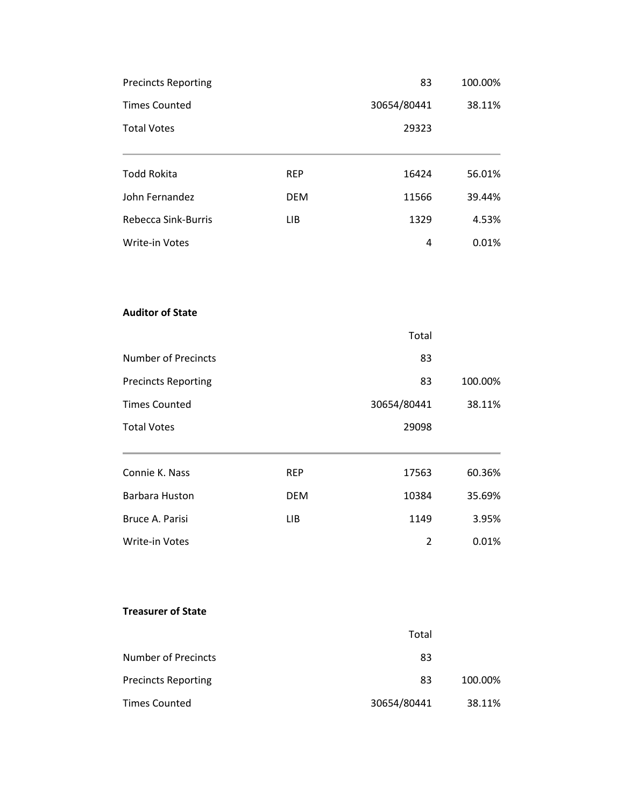| <b>Precincts Reporting</b> |            | 83          | 100.00% |
|----------------------------|------------|-------------|---------|
| <b>Times Counted</b>       |            | 30654/80441 | 38.11%  |
| <b>Total Votes</b>         |            | 29323       |         |
| <b>Todd Rokita</b>         | <b>REP</b> | 16424       | 56.01%  |
| John Fernandez             | <b>DEM</b> | 11566       | 39.44%  |
| Rebecca Sink-Burris        | <b>LIB</b> | 1329        | 4.53%   |
| Write-in Votes             |            | 4           | 0.01%   |
| <b>Auditor of State</b>    |            |             |         |
|                            |            | Total       |         |
| <b>Number of Precincts</b> |            | 83          |         |
| <b>Precincts Reporting</b> |            | 83          | 100.00% |
| <b>Times Counted</b>       |            | 30654/80441 | 38.11%  |
| <b>Total Votes</b>         |            | 29098       |         |
| Connie K. Nass             | <b>REP</b> | 17563       | 60.36%  |
| Barbara Huston             | <b>DEM</b> | 10384       | 35.69%  |
| Bruce A. Parisi            | <b>LIB</b> | 1149        | 3.95%   |
| Write-in Votes             |            | 2           | 0.01%   |
| <b>Treasurer of State</b>  |            |             |         |
|                            |            | Total       |         |
| <b>Number of Precincts</b> |            | 83          |         |
| <b>Precincts Reporting</b> |            | 83          | 100.00% |
| <b>Times Counted</b>       |            | 30654/80441 | 38.11%  |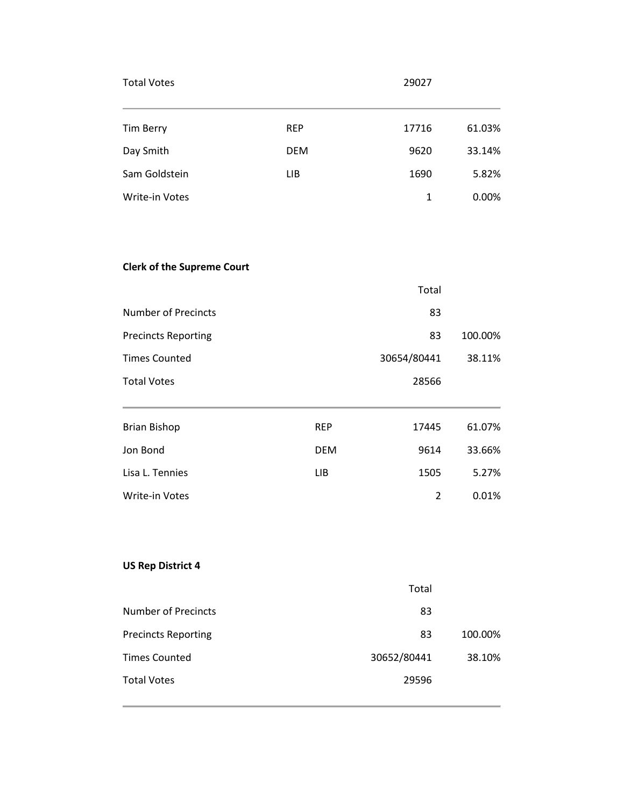| <b>Total Votes</b>    |            | 29027 |        |
|-----------------------|------------|-------|--------|
| Tim Berry             | <b>REP</b> | 17716 | 61.03% |
| Day Smith             | <b>DEM</b> | 9620  | 33.14% |
| Sam Goldstein         | LIB        | 1690  | 5.82%  |
| <b>Write-in Votes</b> |            | 1     | 0.00%  |
|                       |            |       |        |

# **Clerk of the Supreme Court**

|                            |            | Total       |         |
|----------------------------|------------|-------------|---------|
| Number of Precincts        |            | 83          |         |
| <b>Precincts Reporting</b> |            | 83          | 100.00% |
| <b>Times Counted</b>       |            | 30654/80441 | 38.11%  |
| <b>Total Votes</b>         |            | 28566       |         |
|                            |            |             |         |
| <b>Brian Bishop</b>        | <b>REP</b> | 17445       | 61.07%  |
| Jon Bond                   | <b>DEM</b> | 9614        | 33.66%  |
| Lisa L. Tennies            | LIB        | 1505        | 5.27%   |
| <b>Write-in Votes</b>      |            | 2           | 0.01%   |

# **US Rep District 4**

|                            | Total       |         |
|----------------------------|-------------|---------|
| Number of Precincts        | 83          |         |
| <b>Precincts Reporting</b> | 83          | 100.00% |
| <b>Times Counted</b>       | 30652/80441 | 38.10%  |
| <b>Total Votes</b>         | 29596       |         |
|                            |             |         |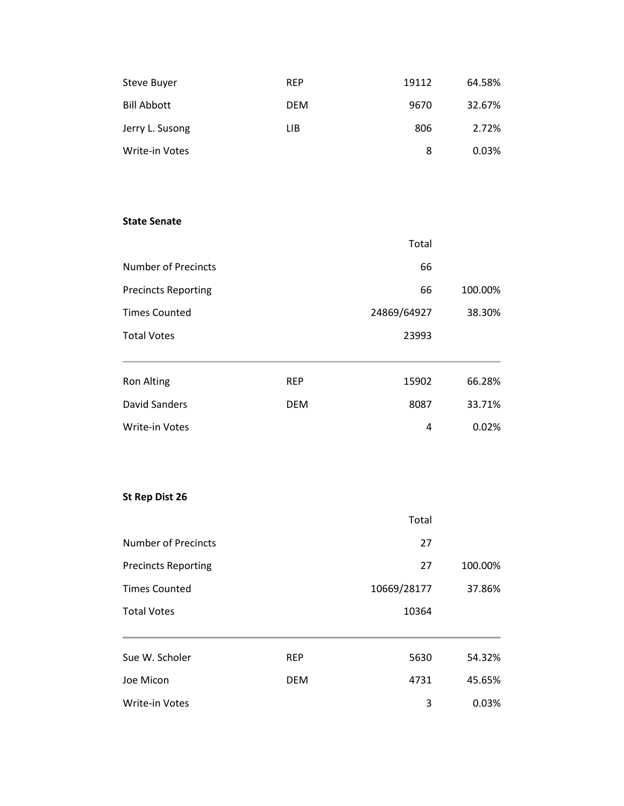| Steve Buyer        | <b>REP</b> | 19112 | 64.58% |
|--------------------|------------|-------|--------|
| <b>Bill Abbott</b> | <b>DEM</b> | 9670  | 32.67% |
| Jerry L. Susong    | LIB        | 806   | 2.72%  |
| Write-in Votes     |            | 8     | 0.03%  |

#### **State Senate**

|                            |            | Total       |         |
|----------------------------|------------|-------------|---------|
| <b>Number of Precincts</b> |            | 66          |         |
| <b>Precincts Reporting</b> |            | 66          | 100.00% |
| <b>Times Counted</b>       |            | 24869/64927 | 38.30%  |
| <b>Total Votes</b>         |            | 23993       |         |
|                            |            |             |         |
| <b>Ron Alting</b>          | <b>REP</b> | 15902       | 66.28%  |
| David Sanders              | <b>DEM</b> | 8087        | 33.71%  |
| <b>Write-in Votes</b>      |            | 4           | 0.02%   |

# **St Rep Dist 26**

|                                                    |            | Total       |                   |
|----------------------------------------------------|------------|-------------|-------------------|
| Number of Precincts                                |            | 27          |                   |
| <b>Precincts Reporting</b><br><b>Times Counted</b> |            | 27          | 100.00%<br>37.86% |
|                                                    |            | 10669/28177 |                   |
| <b>Total Votes</b>                                 |            | 10364       |                   |
|                                                    |            |             |                   |
| Sue W. Scholer                                     | <b>REP</b> | 5630        | 54.32%            |
| Joe Micon                                          | <b>DEM</b> | 4731        | 45.65%            |
| <b>Write-in Votes</b>                              |            | 3           | 0.03%             |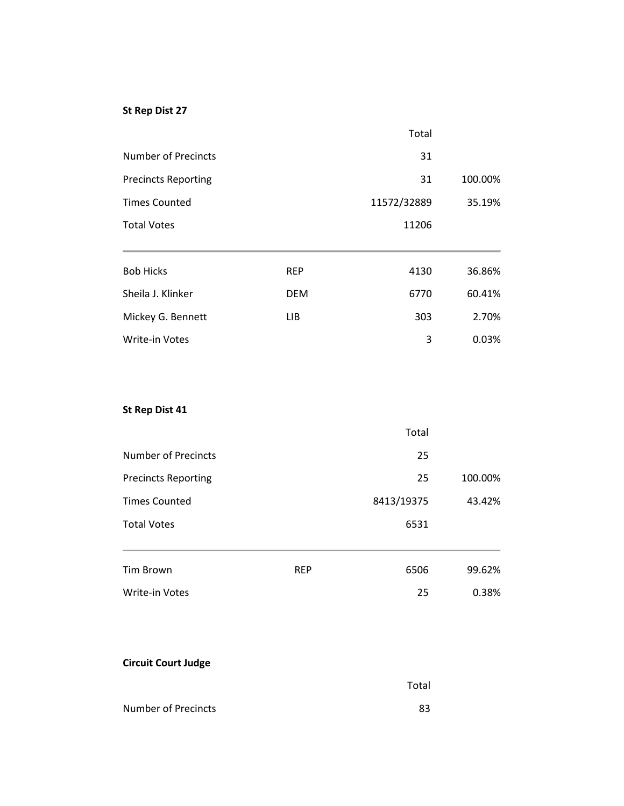# **St Rep Dist 27**

|                            |            | Total       |         |
|----------------------------|------------|-------------|---------|
| Number of Precincts        |            | 31          |         |
| <b>Precincts Reporting</b> |            | 31          | 100.00% |
| <b>Times Counted</b>       |            | 11572/32889 | 35.19%  |
| <b>Total Votes</b>         |            | 11206       |         |
|                            |            |             |         |
| <b>Bob Hicks</b>           | <b>REP</b> | 4130        | 36.86%  |
| Sheila J. Klinker          | <b>DEM</b> | 6770        | 60.41%  |
| Mickey G. Bennett          | LIB.       | 303         | 2.70%   |
| <b>Write-in Votes</b>      |            | 3           | 0.03%   |
|                            |            |             |         |

# **St Rep Dist 41**

|                            |            | Total      |         |
|----------------------------|------------|------------|---------|
| Number of Precincts        |            | 25         |         |
| <b>Precincts Reporting</b> |            | 25         | 100.00% |
| <b>Times Counted</b>       |            | 8413/19375 | 43.42%  |
| <b>Total Votes</b>         |            | 6531       |         |
|                            |            |            |         |
| Tim Brown                  | <b>REP</b> | 6506       | 99.62%  |
| Write-in Votes             |            | 25         | 0.38%   |

# **Circuit Court Judge**

|                     | Total |
|---------------------|-------|
| Number of Precincts | 83    |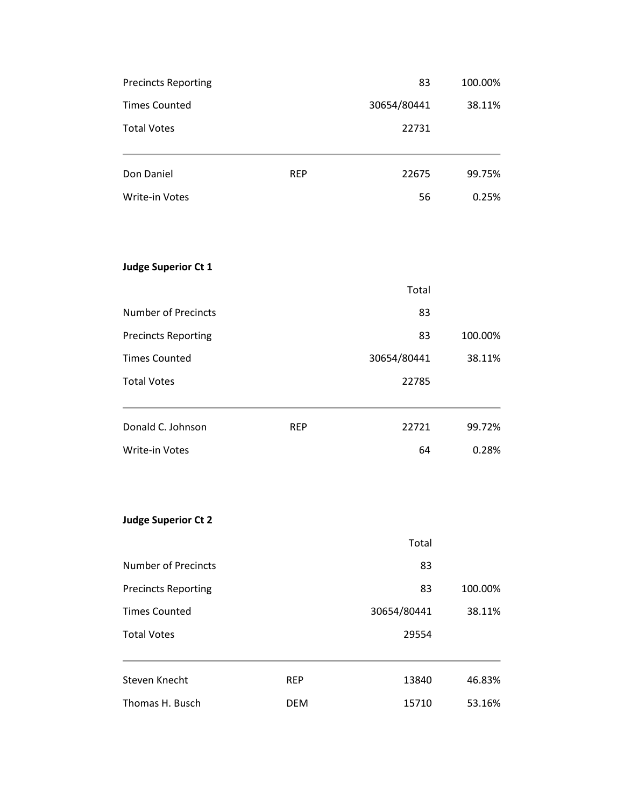| <b>Precincts Reporting</b> |            | 83          | 100.00% |
|----------------------------|------------|-------------|---------|
| <b>Times Counted</b>       |            | 30654/80441 | 38.11%  |
| <b>Total Votes</b>         |            | 22731       |         |
| Don Daniel                 | <b>REP</b> | 22675       | 99.75%  |
| Write-in Votes             |            | 56          | 0.25%   |
| <b>Judge Superior Ct 1</b> |            |             |         |
|                            |            | Total       |         |
| <b>Number of Precincts</b> |            | 83          |         |
| <b>Precincts Reporting</b> |            | 83          | 100.00% |
| <b>Times Counted</b>       |            | 30654/80441 | 38.11%  |
| <b>Total Votes</b>         |            | 22785       |         |
| Donald C. Johnson          | <b>REP</b> | 22721       | 99.72%  |
| Write-in Votes             |            | 64          | 0.28%   |
| <b>Judge Superior Ct 2</b> |            |             |         |
|                            |            | Total       |         |
| <b>Number of Precincts</b> |            | 83          |         |
| <b>Precincts Reporting</b> |            | 83          | 100.00% |
| <b>Times Counted</b>       |            | 30654/80441 | 38.11%  |
| <b>Total Votes</b>         |            | 29554       |         |
| Steven Knecht              | <b>REP</b> | 13840       | 46.83%  |
| Thomas H. Busch            | <b>DEM</b> | 15710       | 53.16%  |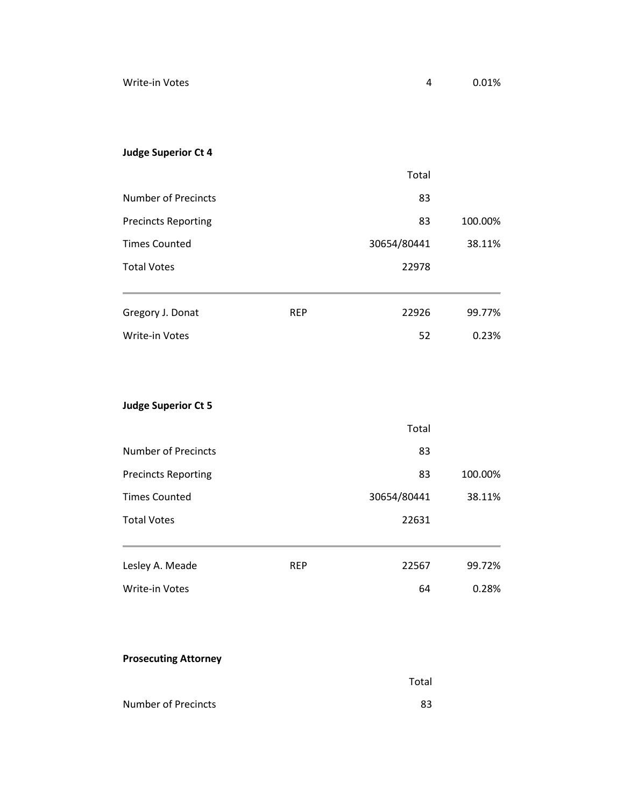# **Judge Superior Ct 4**

|                            |            | Total       |         |
|----------------------------|------------|-------------|---------|
| Number of Precincts        |            | 83          |         |
| <b>Precincts Reporting</b> |            | 83          | 100.00% |
| <b>Times Counted</b>       |            | 30654/80441 | 38.11%  |
| <b>Total Votes</b>         |            | 22978       |         |
|                            |            |             |         |
| Gregory J. Donat           | <b>REP</b> | 22926       | 99.77%  |
| Write-in Votes             |            | 52          | 0.23%   |

# **Judge Superior Ct 5**

|                            |            | Total       |         |
|----------------------------|------------|-------------|---------|
| <b>Number of Precincts</b> |            | 83          |         |
| <b>Precincts Reporting</b> |            | 83          | 100.00% |
| <b>Times Counted</b>       |            | 30654/80441 | 38.11%  |
| <b>Total Votes</b>         |            | 22631       |         |
|                            |            |             |         |
| Lesley A. Meade            | <b>REP</b> | 22567       | 99.72%  |
| <b>Write-in Votes</b>      |            | 64          | 0.28%   |

# **Prosecuting Attorney**

|                     | Total |
|---------------------|-------|
| Number of Precincts | 83    |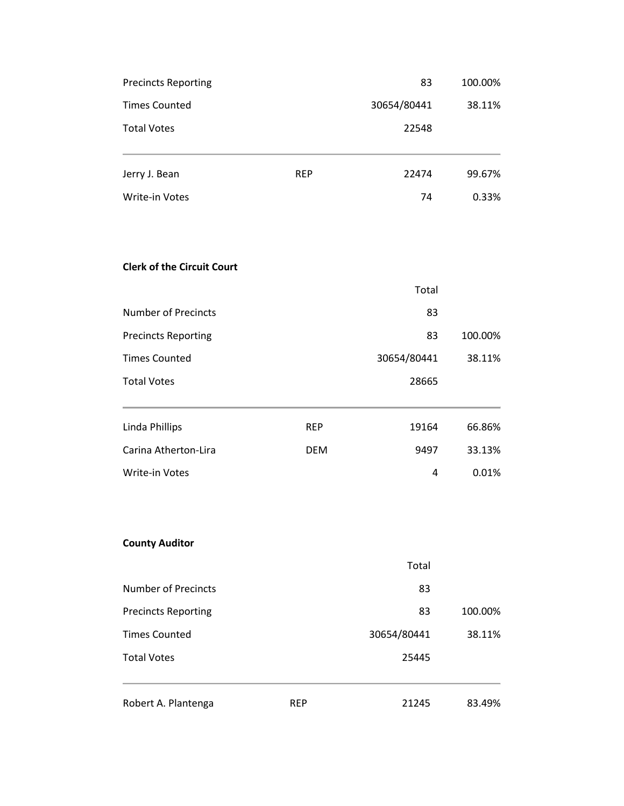| <b>Precincts Reporting</b>        |            | 83          | 100.00% |
|-----------------------------------|------------|-------------|---------|
| <b>Times Counted</b>              |            | 30654/80441 | 38.11%  |
| <b>Total Votes</b>                |            | 22548       |         |
| Jerry J. Bean                     | <b>REP</b> | 22474       | 99.67%  |
| Write-in Votes                    |            | 74          | 0.33%   |
| <b>Clerk of the Circuit Court</b> |            |             |         |
|                                   |            | Total       |         |
| <b>Number of Precincts</b>        |            | 83          |         |
| <b>Precincts Reporting</b>        |            | 83          | 100.00% |
| <b>Times Counted</b>              |            | 30654/80441 | 38.11%  |
| <b>Total Votes</b>                |            | 28665       |         |
| <b>Linda Phillips</b>             | <b>REP</b> | 19164       | 66.86%  |
| Carina Atherton-Lira              | <b>DEM</b> | 9497        | 33.13%  |
| Write-in Votes                    |            | 4           | 0.01%   |
| <b>County Auditor</b>             |            |             |         |
|                                   |            | Total       |         |
| <b>Number of Precincts</b>        |            | 83          |         |
| <b>Precincts Reporting</b>        |            | 83          | 100.00% |
| <b>Times Counted</b>              |            | 30654/80441 | 38.11%  |
| <b>Total Votes</b>                |            | 25445       |         |
| Robert A. Plantenga               | <b>REP</b> | 21245       | 83.49%  |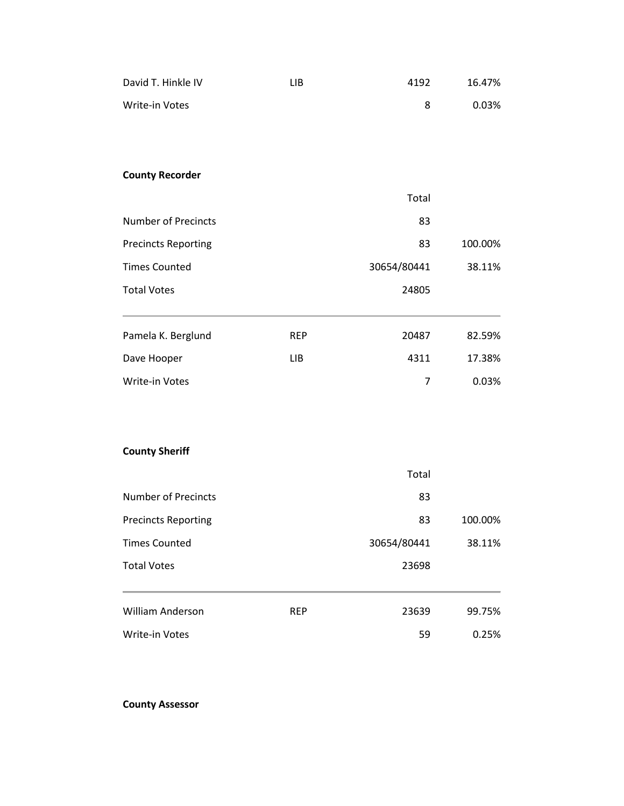| David T. Hinkle IV         | <b>LIB</b> | 4192           | 16.47%  |
|----------------------------|------------|----------------|---------|
| Write-in Votes             |            | 8              | 0.03%   |
|                            |            |                |         |
|                            |            |                |         |
| <b>County Recorder</b>     |            |                |         |
|                            |            | Total          |         |
| <b>Number of Precincts</b> |            | 83             |         |
| <b>Precincts Reporting</b> |            | 83             | 100.00% |
| <b>Times Counted</b>       |            | 30654/80441    | 38.11%  |
| <b>Total Votes</b>         |            | 24805          |         |
| Pamela K. Berglund         | <b>REP</b> | 20487          | 82.59%  |
| Dave Hooper                | <b>LIB</b> | 4311           | 17.38%  |
| Write-in Votes             |            | $\overline{7}$ | 0.03%   |
|                            |            |                |         |
| <b>County Sheriff</b>      |            |                |         |
|                            |            | Total          |         |
| <b>Number of Precincts</b> |            | 83             |         |
| <b>Precincts Reporting</b> |            | 83             | 100.00% |
| <b>Times Counted</b>       |            | 30654/80441    | 38.11%  |
| <b>Total Votes</b>         |            | 23698          |         |
| <b>William Anderson</b>    | <b>REP</b> | 23639          | 99.75%  |
| Write-in Votes             |            | 59             | 0.25%   |

**County Assessor**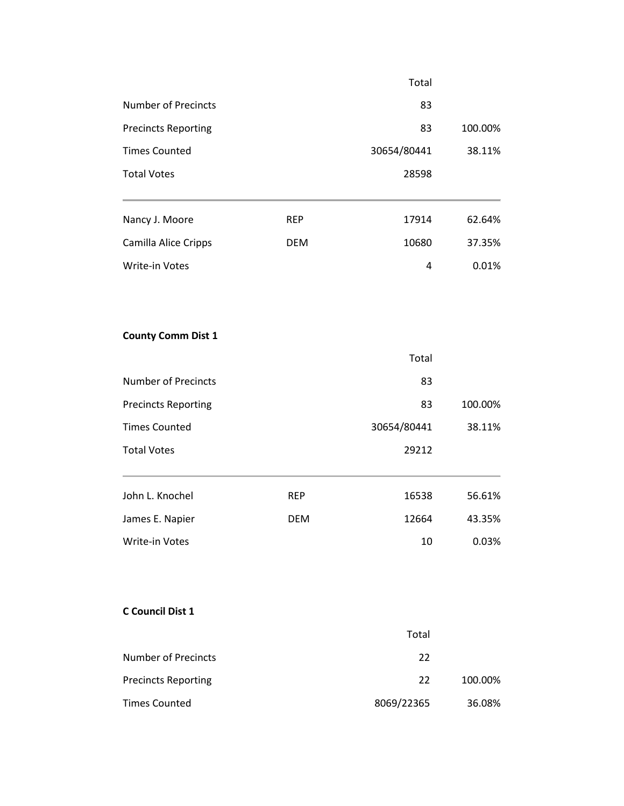|                            |            | Total       |         |
|----------------------------|------------|-------------|---------|
| <b>Number of Precincts</b> |            | 83          |         |
| <b>Precincts Reporting</b> |            | 83          | 100.00% |
| <b>Times Counted</b>       |            | 30654/80441 | 38.11%  |
| <b>Total Votes</b>         |            | 28598       |         |
| Nancy J. Moore             | <b>REP</b> | 17914       | 62.64%  |
| Camilla Alice Cripps       | <b>DEM</b> | 10680       | 37.35%  |
| Write-in Votes             |            | 4           | 0.01%   |
| <b>County Comm Dist 1</b>  |            |             |         |
|                            |            | Total       |         |
| <b>Number of Precincts</b> |            | 83          |         |
| <b>Precincts Reporting</b> |            | 83          | 100.00% |
| <b>Times Counted</b>       |            | 30654/80441 | 38.11%  |
| <b>Total Votes</b>         |            | 29212       |         |
| John L. Knochel            | <b>REP</b> | 16538       | 56.61%  |
| James E. Napier            | <b>DEM</b> | 12664       | 43.35%  |
| Write-in Votes             |            | 10          | 0.03%   |
|                            |            |             |         |
|                            |            |             |         |

### **C Council Dist 1**

|                            | Total      |         |
|----------------------------|------------|---------|
| <b>Number of Precincts</b> | 22         |         |
| <b>Precincts Reporting</b> | 22         | 100.00% |
| <b>Times Counted</b>       | 8069/22365 | 36.08%  |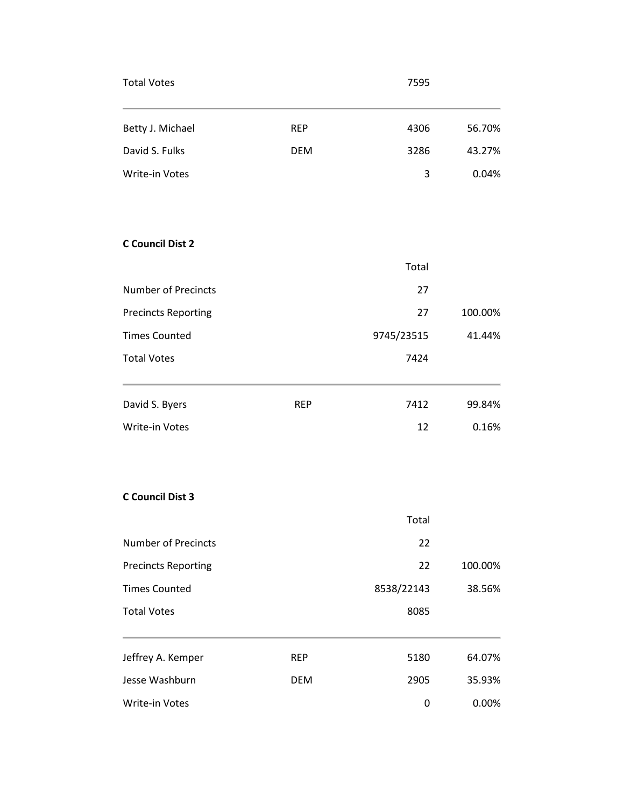| <b>Total Votes</b>         |            | 7595       |         |
|----------------------------|------------|------------|---------|
| Betty J. Michael           | <b>REP</b> | 4306       | 56.70%  |
| David S. Fulks             | <b>DEM</b> | 3286       | 43.27%  |
| Write-in Votes             |            | 3          | 0.04%   |
| <b>C Council Dist 2</b>    |            |            |         |
|                            |            | Total      |         |
| <b>Number of Precincts</b> |            | 27         |         |
| <b>Precincts Reporting</b> |            | 27         | 100.00% |
| <b>Times Counted</b>       |            | 9745/23515 | 41.44%  |
| <b>Total Votes</b>         |            | 7424       |         |
| David S. Byers             | <b>REP</b> | 7412       | 99.84%  |
| Write-in Votes             |            | 12         | 0.16%   |
| <b>C Council Dist 3</b>    |            |            |         |
|                            |            | Total      |         |
| <b>Number of Precincts</b> |            | 22         |         |
| <b>Precincts Reporting</b> |            | 22         | 100.00% |
| <b>Times Counted</b>       |            | 8538/22143 | 38.56%  |
| <b>Total Votes</b>         |            | 8085       |         |
| Jeffrey A. Kemper          | <b>REP</b> | 5180       | 64.07%  |
| Jesse Washburn             | <b>DEM</b> | 2905       | 35.93%  |
| Write-in Votes             |            | 0          | 0.00%   |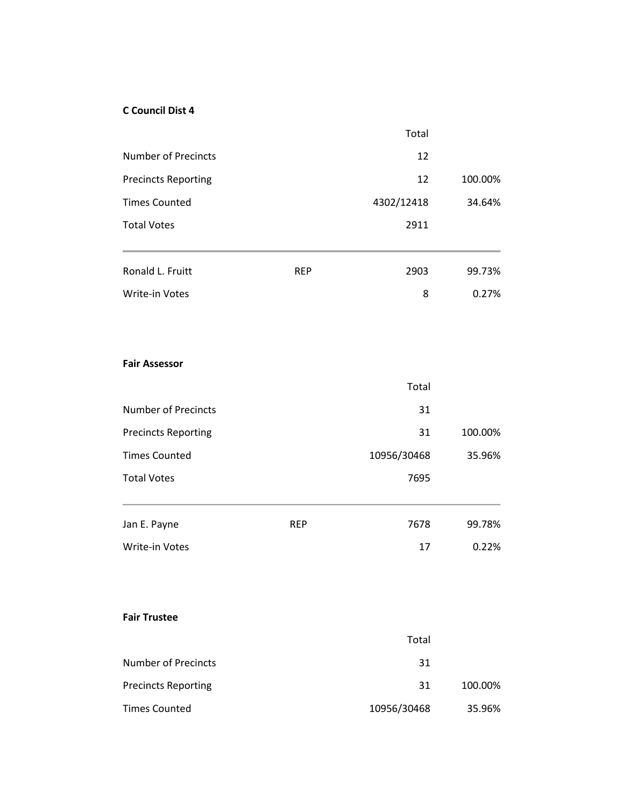#### **C Council Dist 4**

|                            |            | Total       |         |
|----------------------------|------------|-------------|---------|
| <b>Number of Precincts</b> |            | 12          |         |
| <b>Precincts Reporting</b> |            | 12          | 100.00% |
| <b>Times Counted</b>       |            | 4302/12418  | 34.64%  |
| <b>Total Votes</b>         |            | 2911        |         |
| Ronald L. Fruitt           | <b>REP</b> | 2903        | 99.73%  |
| Write-in Votes             |            | 8           | 0.27%   |
| <b>Fair Assessor</b>       |            |             |         |
|                            |            | Total       |         |
| <b>Number of Precincts</b> |            | 31          |         |
| <b>Precincts Reporting</b> |            | 31          | 100.00% |
| <b>Times Counted</b>       |            | 10956/30468 | 35.96%  |
| <b>Total Votes</b>         |            | 7695        |         |
| Jan E. Payne               | <b>REP</b> | 7678        | 99.78%  |
| Write-in Votes             |            | 17          | 0.22%   |
|                            |            |             |         |
| <b>Fair Trustee</b>        |            |             |         |
|                            |            | Total       |         |
| <b>Number of Precincts</b> |            | 31          |         |
| <b>Precincts Reporting</b> |            | 31          | 100.00% |
| <b>Times Counted</b>       |            | 10956/30468 | 35.96%  |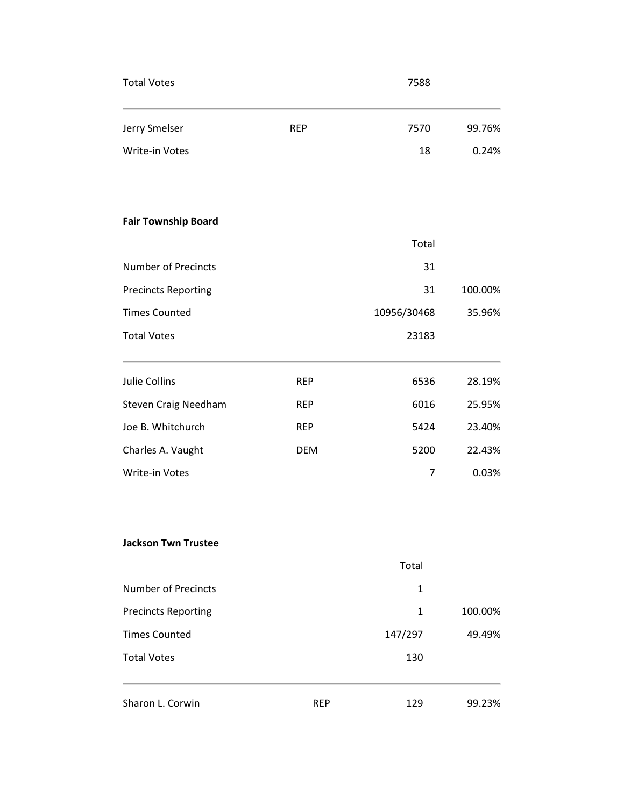| <b>Total Votes</b>          |            | 7588           |         |
|-----------------------------|------------|----------------|---------|
| Jerry Smelser               | <b>REP</b> | 7570           | 99.76%  |
| Write-in Votes              |            | 18             | 0.24%   |
| <b>Fair Township Board</b>  |            |                |         |
|                             |            | Total          |         |
| <b>Number of Precincts</b>  |            | 31             |         |
| <b>Precincts Reporting</b>  |            | 31             | 100.00% |
| <b>Times Counted</b>        |            | 10956/30468    | 35.96%  |
| <b>Total Votes</b>          |            | 23183          |         |
| Julie Collins               | <b>REP</b> | 6536           | 28.19%  |
| <b>Steven Craig Needham</b> | <b>REP</b> | 6016           | 25.95%  |
| Joe B. Whitchurch           | <b>REP</b> | 5424           | 23.40%  |
| Charles A. Vaught           | <b>DEM</b> | 5200           | 22.43%  |
| Write-in Votes              |            | $\overline{7}$ | 0.03%   |
| <b>Jackson Twn Trustee</b>  |            |                |         |
|                             |            | Total          |         |
| <b>Number of Precincts</b>  |            | $\mathbf{1}$   |         |
| <b>Precincts Reporting</b>  |            | 1              | 100.00% |
| <b>Times Counted</b>        |            | 147/297        | 49.49%  |
| <b>Total Votes</b>          |            | 130            |         |
| Sharon L. Corwin            | <b>REP</b> | 129            | 99.23%  |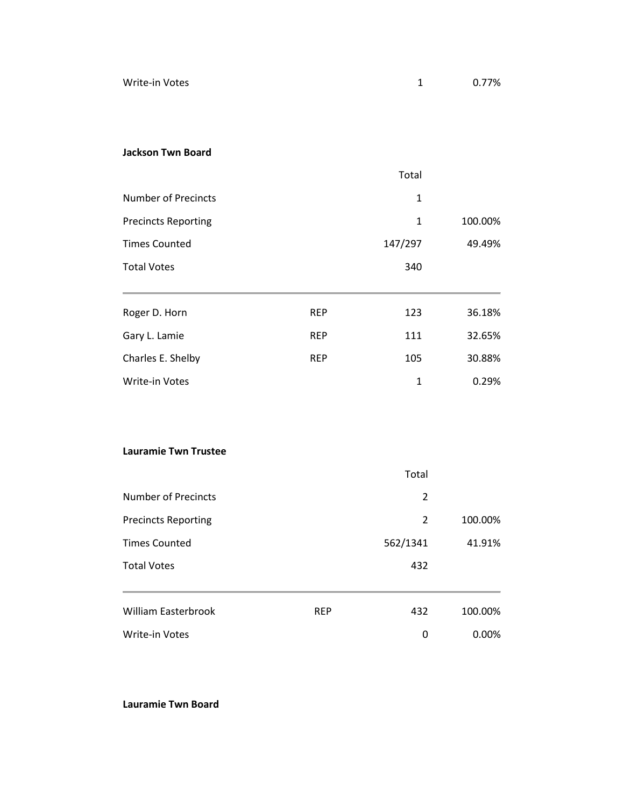Write-in Votes **1** 0.77%

#### **Jackson Twn Board**

|                                              |            | Total          |                                                                            |
|----------------------------------------------|------------|----------------|----------------------------------------------------------------------------|
| <b>Number of Precincts</b>                   |            | $\mathbf{1}$   |                                                                            |
| <b>Precincts Reporting</b>                   |            | $\mathbf{1}$   | 100.00%                                                                    |
| <b>Times Counted</b>                         |            | 147/297        | 49.49%                                                                     |
| <b>Total Votes</b>                           |            | 340            |                                                                            |
| Roger D. Horn                                | <b>REP</b> | 123            | 36.18%                                                                     |
| Gary L. Lamie                                | <b>REP</b> | 111            | 32.65%                                                                     |
| Charles E. Shelby                            | <b>REP</b> | 105            | 30.88%                                                                     |
| Write-in Votes                               |            | $\mathbf{1}$   | 0.29%                                                                      |
|                                              |            |                |                                                                            |
| <b>Lauramie Twn Trustee</b>                  |            |                |                                                                            |
|                                              |            | Total          |                                                                            |
| <b>Number of Precincts</b>                   |            | $\overline{2}$ |                                                                            |
| <b>Precincts Reporting</b>                   |            | $\overline{2}$ | 100.00%                                                                    |
| $\tau$ and $\tau$ is a contracted and $\tau$ |            | F C 2 142 14   | $\overline{A}$ $\overline{A}$ $\overline{A}$ $\overline{A}$ $\overline{A}$ |

Times Counted **1.91% 562/1341** 41.91% Total Votes 432 William Easterbrook **REP** 432 100.00% Write-in Votes **0 0.00%** 

**Lauramie Twn Board**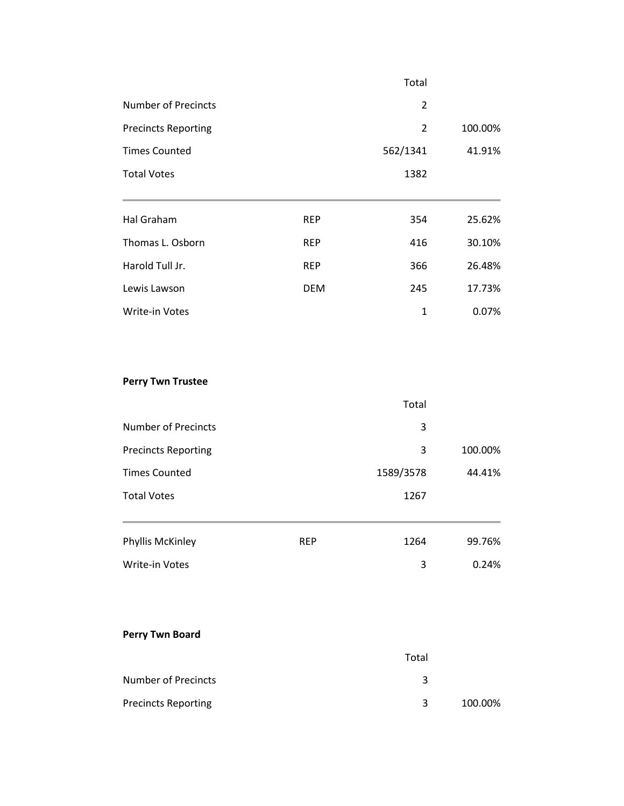|                            |            | Total          |         |
|----------------------------|------------|----------------|---------|
| <b>Number of Precincts</b> |            | 2              |         |
| <b>Precincts Reporting</b> |            | $\overline{2}$ | 100.00% |
| <b>Times Counted</b>       |            | 562/1341       | 41.91%  |
| <b>Total Votes</b>         |            | 1382           |         |
|                            |            |                |         |
| Hal Graham                 | <b>REP</b> | 354            | 25.62%  |
| Thomas L. Osborn           | <b>REP</b> | 416            | 30.10%  |
| Harold Tull Jr.            | <b>REP</b> | 366            | 26.48%  |
| Lewis Lawson               | <b>DEM</b> | 245            | 17.73%  |
| <b>Write-in Votes</b>      |            | $\mathbf{1}$   | 0.07%   |

# **Perry Twn Trustee**

|                            |            | Total     |         |
|----------------------------|------------|-----------|---------|
| <b>Number of Precincts</b> |            | 3         |         |
| <b>Precincts Reporting</b> |            | 3         | 100.00% |
| <b>Times Counted</b>       |            | 1589/3578 | 44.41%  |
| <b>Total Votes</b>         |            | 1267      |         |
| Phyllis McKinley           | <b>REP</b> | 1264      | 99.76%  |
| <b>Write-in Votes</b>      |            | 3         | 0.24%   |

# **Perry Twn Board**

|                            | Total |         |
|----------------------------|-------|---------|
| <b>Number of Precincts</b> | ર     |         |
| <b>Precincts Reporting</b> | 3     | 100.00% |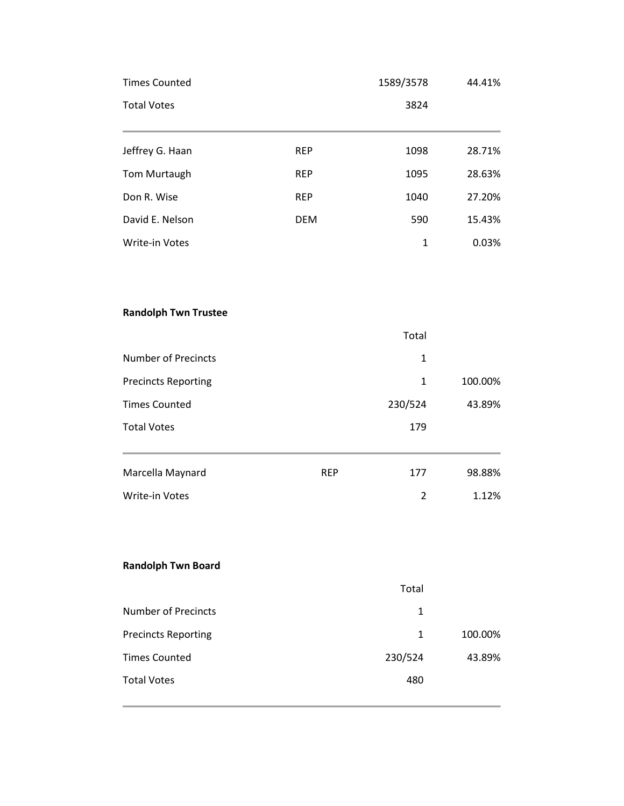| <b>Times Counted</b>        |            | 1589/3578      | 44.41%  |
|-----------------------------|------------|----------------|---------|
| <b>Total Votes</b>          |            | 3824           |         |
| Jeffrey G. Haan             | <b>REP</b> | 1098           | 28.71%  |
| Tom Murtaugh                | <b>REP</b> | 1095           | 28.63%  |
| Don R. Wise                 | <b>REP</b> | 1040           | 27.20%  |
| David E. Nelson             | <b>DEM</b> | 590            | 15.43%  |
| Write-in Votes              |            | $\mathbf{1}$   | 0.03%   |
| <b>Randolph Twn Trustee</b> |            |                |         |
|                             |            | Total          |         |
| <b>Number of Precincts</b>  |            | $\mathbf{1}$   |         |
| <b>Precincts Reporting</b>  |            | $\mathbf{1}$   | 100.00% |
| <b>Times Counted</b>        |            | 230/524        | 43.89%  |
| <b>Total Votes</b>          |            | 179            |         |
| Marcella Maynard            | <b>REP</b> | 177            | 98.88%  |
| Write-in Votes              |            | $\overline{2}$ | 1.12%   |
| <b>Randolph Twn Board</b>   |            |                |         |
|                             |            | Total          |         |
| <b>Number of Precincts</b>  |            | 1              |         |
| <b>Precincts Reporting</b>  |            | $\mathbf{1}$   | 100.00% |
| <b>Times Counted</b>        |            | 230/524        | 43.89%  |
| <b>Total Votes</b>          |            | 480            |         |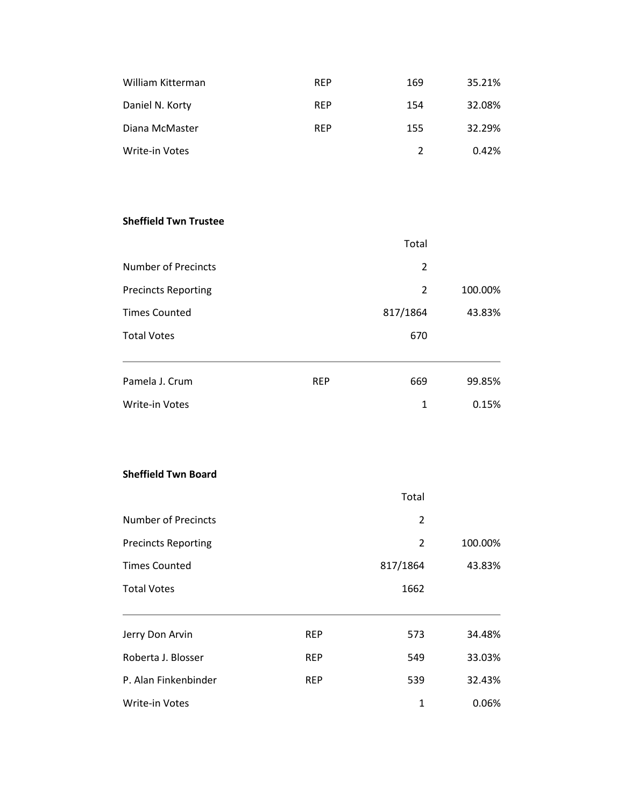| William Kitterman | <b>REP</b> | 169           | 35.21% |
|-------------------|------------|---------------|--------|
| Daniel N. Korty   | <b>REP</b> | 154           | 32.08% |
| Diana McMaster    | <b>RFP</b> | 155           | 32.29% |
| Write-in Votes    |            | $\mathcal{P}$ | 0.42%  |

# **Sheffield Twn Trustee**

|                            |            | Total    |         |
|----------------------------|------------|----------|---------|
| Number of Precincts        |            | 2        |         |
| <b>Precincts Reporting</b> |            | 2        | 100.00% |
| <b>Times Counted</b>       |            | 817/1864 | 43.83%  |
| <b>Total Votes</b>         |            | 670      |         |
|                            |            |          |         |
| Pamela J. Crum             | <b>REP</b> | 669      | 99.85%  |
| Write-in Votes             |            | 1        | 0.15%   |

#### **Sheffield Twn Board**

|                            |            | Total          |         |
|----------------------------|------------|----------------|---------|
| Number of Precincts        |            | 2              |         |
| <b>Precincts Reporting</b> |            | $\overline{2}$ | 100.00% |
| <b>Times Counted</b>       |            | 817/1864       | 43.83%  |
| <b>Total Votes</b>         |            | 1662           |         |
|                            |            |                |         |
| Jerry Don Arvin            | <b>REP</b> | 573            | 34.48%  |
| Roberta J. Blosser         | <b>REP</b> | 549            | 33.03%  |
| P. Alan Finkenbinder       | <b>REP</b> | 539            | 32.43%  |
| <b>Write-in Votes</b>      |            | 1              | 0.06%   |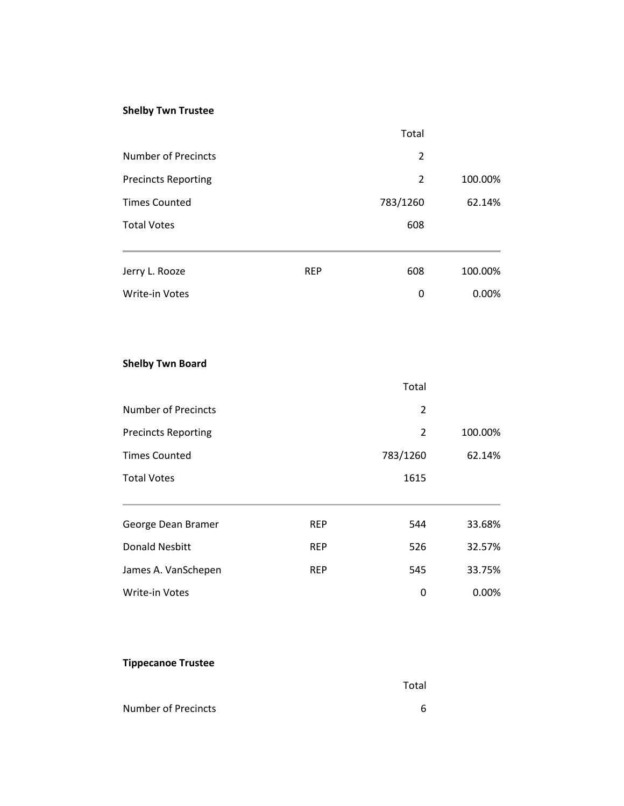# **Shelby Twn Trustee**

|                            |            | Total    |         |
|----------------------------|------------|----------|---------|
| <b>Number of Precincts</b> |            | 2        |         |
| <b>Precincts Reporting</b> |            | 2        | 100.00% |
| <b>Times Counted</b>       |            | 783/1260 | 62.14%  |
| <b>Total Votes</b>         |            | 608      |         |
|                            |            |          |         |
| Jerry L. Rooze             | <b>REP</b> | 608      | 100.00% |
| <b>Write-in Votes</b>      |            | 0        | 0.00%   |

# **Shelby Twn Board**

|                            |            | Total    |         |
|----------------------------|------------|----------|---------|
| <b>Number of Precincts</b> |            | 2        |         |
| <b>Precincts Reporting</b> |            | 2        | 100.00% |
| <b>Times Counted</b>       |            | 783/1260 | 62.14%  |
| <b>Total Votes</b>         |            | 1615     |         |
|                            |            |          |         |
| George Dean Bramer         | <b>REP</b> | 544      | 33.68%  |
| <b>Donald Nesbitt</b>      | <b>REP</b> | 526      | 32.57%  |
| James A. VanSchepen        | <b>REP</b> | 545      | 33.75%  |
| <b>Write-in Votes</b>      |            | 0        | 0.00%   |

# **Tippecanoe Trustee**

|                     | Total |
|---------------------|-------|
| Number of Precincts | 6     |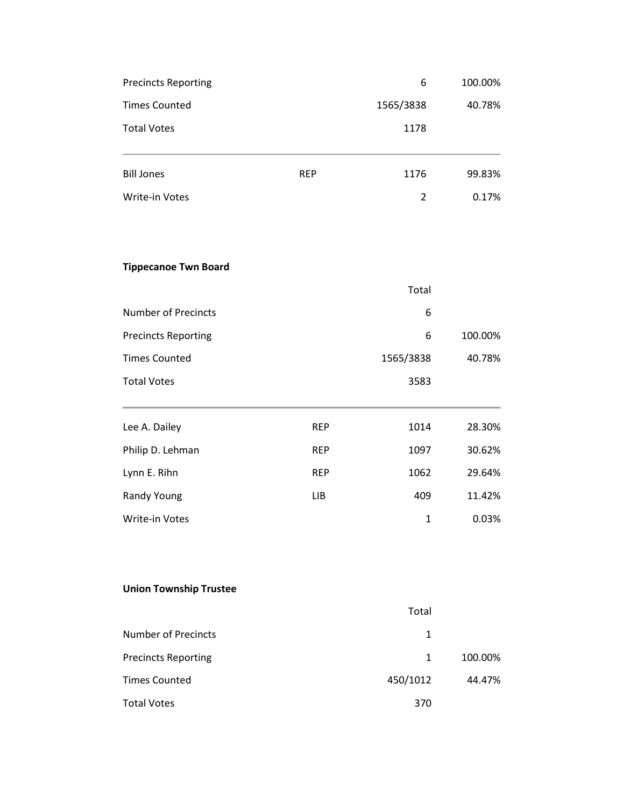| <b>Precincts Reporting</b>      | 6         | 100.00% |
|---------------------------------|-----------|---------|
| <b>Times Counted</b>            | 1565/3838 | 40.78%  |
| <b>Total Votes</b>              | 1178      |         |
|                                 |           |         |
| <b>Bill Jones</b><br><b>REP</b> | 1176      | 99.83%  |
| Write-in Votes                  | 2         | 0.17%   |

# **Tippecanoe Twn Board**

|                            |            | Total     |         |
|----------------------------|------------|-----------|---------|
| <b>Number of Precincts</b> |            | 6         |         |
| <b>Precincts Reporting</b> |            | 6         | 100.00% |
| <b>Times Counted</b>       |            | 1565/3838 | 40.78%  |
| <b>Total Votes</b>         |            | 3583      |         |
|                            |            |           |         |
| Lee A. Dailey              | <b>REP</b> | 1014      | 28.30%  |
| Philip D. Lehman           | <b>REP</b> | 1097      | 30.62%  |
| Lynn E. Rihn               | <b>REP</b> | 1062      | 29.64%  |
| Randy Young                | <b>LIB</b> | 409       | 11.42%  |

Write-in Votes 2008 2012 12:00:00 12:00:00 12:00:00 12:00:00 12:00:00 12:00:00 12:00:00 12:00:00 12:00:00 12:00:00 12:00:00 12:00:00 12:00:00 12:00:00 12:00:00 12:00:00 12:00:00 12:00:00 12:00:00 12:00:00 12:00:00 12:00:00

# **Union Township Trustee**

|                            | Total        |         |
|----------------------------|--------------|---------|
| Number of Precincts        | 1            |         |
| <b>Precincts Reporting</b> | $\mathbf{1}$ | 100.00% |
| <b>Times Counted</b>       | 450/1012     | 44.47%  |
| <b>Total Votes</b>         | 370          |         |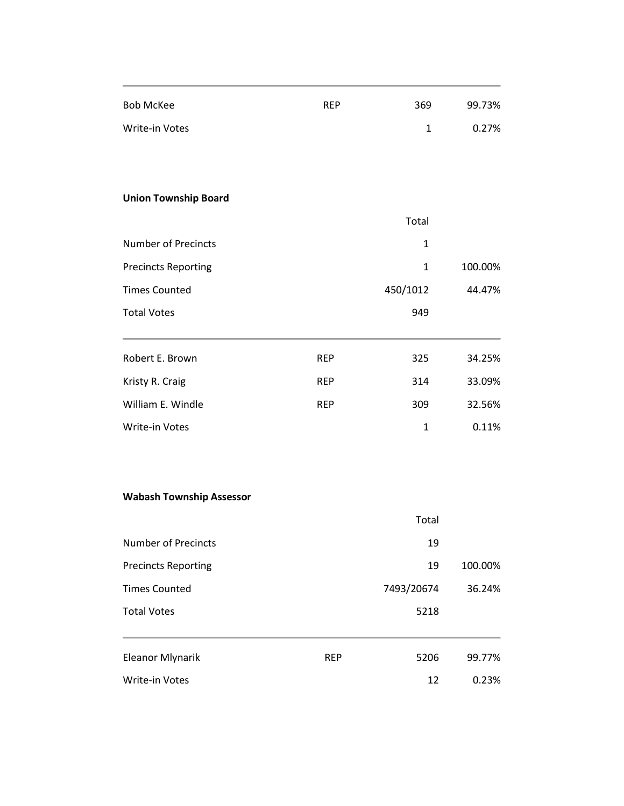| <b>Bob McKee</b>            | <b>REP</b> | 369          | 99.73%  |
|-----------------------------|------------|--------------|---------|
| <b>Write-in Votes</b>       |            | $\mathbf{1}$ | 0.27%   |
|                             |            |              |         |
|                             |            |              |         |
| <b>Union Township Board</b> |            |              |         |
|                             |            | Total        |         |
| <b>Number of Precincts</b>  |            | $\mathbf{1}$ |         |
| <b>Precincts Reporting</b>  |            | $\mathbf{1}$ | 100.00% |
| <b>Times Counted</b>        |            | 450/1012     | 44.47%  |
| <b>Total Votes</b>          |            | 949          |         |
|                             |            |              |         |
| Robert E. Brown             | <b>REP</b> | 325          | 34.25%  |
| Kristy R. Craig             | <b>REP</b> | 314          | 33.09%  |
| William E. Windle           | <b>REP</b> | 309          | 32.56%  |
| Write-in Votes              |            | $\mathbf{1}$ | 0.11%   |

### **Wabash Township Assessor**

|                            |            | Total      |         |
|----------------------------|------------|------------|---------|
| Number of Precincts        |            | 19         |         |
| <b>Precincts Reporting</b> |            | 19         | 100.00% |
| <b>Times Counted</b>       |            | 7493/20674 | 36.24%  |
| <b>Total Votes</b>         |            | 5218       |         |
|                            |            |            |         |
| <b>Eleanor Mlynarik</b>    | <b>REP</b> | 5206       | 99.77%  |
| <b>Write-in Votes</b>      |            | 12         | 0.23%   |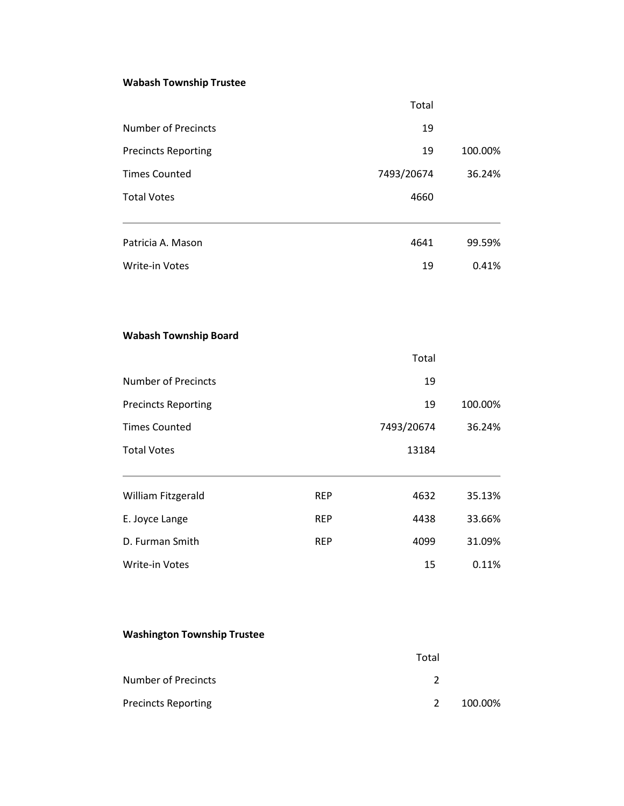# **Wabash Township Trustee**

|                              |            | Total      |         |
|------------------------------|------------|------------|---------|
| <b>Number of Precincts</b>   |            | 19         |         |
| <b>Precincts Reporting</b>   |            | 19         | 100.00% |
| <b>Times Counted</b>         |            | 7493/20674 | 36.24%  |
| <b>Total Votes</b>           |            | 4660       |         |
| Patricia A. Mason            |            | 4641       | 99.59%  |
| <b>Write-in Votes</b>        |            | 19         | 0.41%   |
| <b>Wabash Township Board</b> |            |            |         |
|                              |            | Total      |         |
| <b>Number of Precincts</b>   |            | 19         |         |
| <b>Precincts Reporting</b>   |            | 19         | 100.00% |
| <b>Times Counted</b>         |            | 7493/20674 | 36.24%  |
| <b>Total Votes</b>           |            | 13184      |         |
| William Fitzgerald           | <b>REP</b> | 4632       | 35.13%  |
| E. Joyce Lange               | <b>REP</b> | 4438       | 33.66%  |
| D. Furman Smith              | <b>REP</b> | 4099       | 31.09%  |
| Write-in Votes               |            | 15         | 0.11%   |

# **Washington Township Trustee**

|                            | Total         |         |
|----------------------------|---------------|---------|
| Number of Precincts        |               |         |
| <b>Precincts Reporting</b> | $\mathcal{L}$ | 100.00% |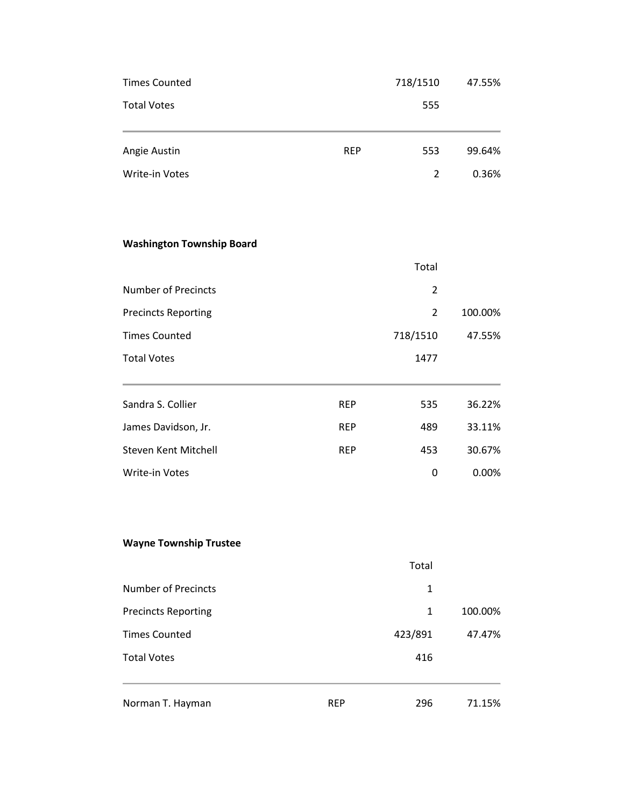| <b>Times Counted</b>             |            | 718/1510       | 47.55%  |
|----------------------------------|------------|----------------|---------|
| <b>Total Votes</b>               |            | 555            |         |
| Angie Austin                     | <b>REP</b> | 553            | 99.64%  |
| Write-in Votes                   |            | $\overline{2}$ | 0.36%   |
| <b>Washington Township Board</b> |            |                |         |
|                                  |            | Total          |         |
| <b>Number of Precincts</b>       |            | $\overline{2}$ |         |
| <b>Precincts Reporting</b>       |            | $\overline{2}$ | 100.00% |
| <b>Times Counted</b>             |            | 718/1510       | 47.55%  |
| <b>Total Votes</b>               |            | 1477           |         |
| Sandra S. Collier                | <b>REP</b> | 535            | 36.22%  |
| James Davidson, Jr.              | <b>REP</b> | 489            | 33.11%  |
| Steven Kent Mitchell             | <b>REP</b> | 453            | 30.67%  |
| Write-in Votes                   |            | 0              | 0.00%   |
| <b>Wayne Township Trustee</b>    |            |                |         |
|                                  |            | Total          |         |
| <b>Number of Precincts</b>       |            | 1              |         |
| <b>Precincts Reporting</b>       |            | 1              | 100.00% |
| <b>Times Counted</b>             |            | 423/891        | 47.47%  |
| <b>Total Votes</b>               |            | 416            |         |
| Norman T. Hayman                 | <b>REP</b> | 296            | 71.15%  |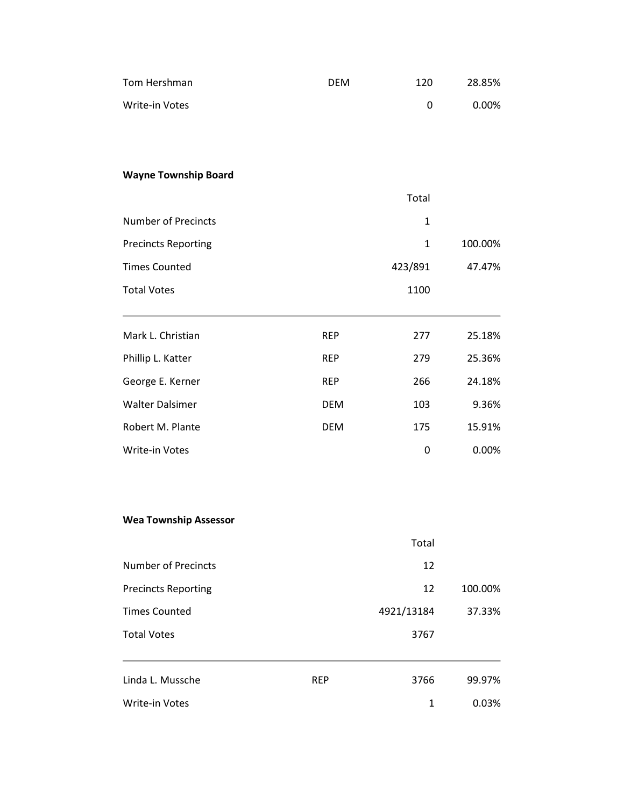| Tom Hershman                 | <b>DEM</b> | 120          | 28.85%  |
|------------------------------|------------|--------------|---------|
| Write-in Votes               |            | 0            | 0.00%   |
|                              |            |              |         |
|                              |            |              |         |
| <b>Wayne Township Board</b>  |            |              |         |
|                              |            | Total        |         |
| <b>Number of Precincts</b>   |            | 1            |         |
| <b>Precincts Reporting</b>   |            | 1            | 100.00% |
| <b>Times Counted</b>         |            | 423/891      | 47.47%  |
| <b>Total Votes</b>           |            | 1100         |         |
| Mark L. Christian            | <b>REP</b> | 277          | 25.18%  |
| Phillip L. Katter            | <b>REP</b> | 279          | 25.36%  |
| George E. Kerner             | <b>REP</b> | 266          | 24.18%  |
| <b>Walter Dalsimer</b>       | <b>DEM</b> | 103          | 9.36%   |
| Robert M. Plante             | <b>DEM</b> | 175          | 15.91%  |
| Write-in Votes               |            | 0            | 0.00%   |
|                              |            |              |         |
| <b>Wea Township Assessor</b> |            |              |         |
|                              |            | Total        |         |
| <b>Number of Precincts</b>   |            | 12           |         |
| <b>Precincts Reporting</b>   |            | 12           | 100.00% |
| <b>Times Counted</b>         |            | 4921/13184   | 37.33%  |
| <b>Total Votes</b>           |            | 3767         |         |
| Linda L. Mussche             | <b>REP</b> | 3766         | 99.97%  |
| Write-in Votes               |            | $\mathbf{1}$ | 0.03%   |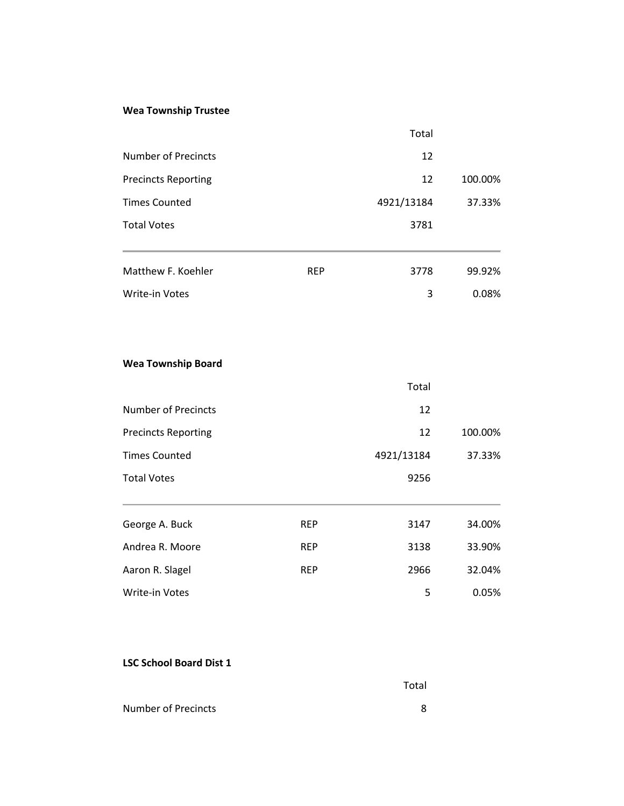# **Wea Township Trustee**

|                            |            | Total      |         |
|----------------------------|------------|------------|---------|
| Number of Precincts        |            | 12         |         |
| <b>Precincts Reporting</b> |            | 12         | 100.00% |
| <b>Times Counted</b>       |            | 4921/13184 | 37.33%  |
| <b>Total Votes</b>         |            | 3781       |         |
|                            |            |            |         |
| Matthew F. Koehler         | <b>REP</b> | 3778       | 99.92%  |
| <b>Write-in Votes</b>      |            | 3          | 0.08%   |

#### **Wea Township Board**

|                            |            | Total      |         |
|----------------------------|------------|------------|---------|
| <b>Number of Precincts</b> |            | 12         |         |
| <b>Precincts Reporting</b> |            | 12         | 100.00% |
| <b>Times Counted</b>       |            | 4921/13184 | 37.33%  |
| <b>Total Votes</b>         |            | 9256       |         |
|                            |            |            |         |
| George A. Buck             | <b>REP</b> | 3147       | 34.00%  |
| Andrea R. Moore            | <b>REP</b> | 3138       | 33.90%  |
| Aaron R. Slagel            | <b>REP</b> | 2966       | 32.04%  |
| <b>Write-in Votes</b>      |            | 5          | 0.05%   |

#### **LSC School Board Dist 1**

|                     | Total |
|---------------------|-------|
| Number of Precincts |       |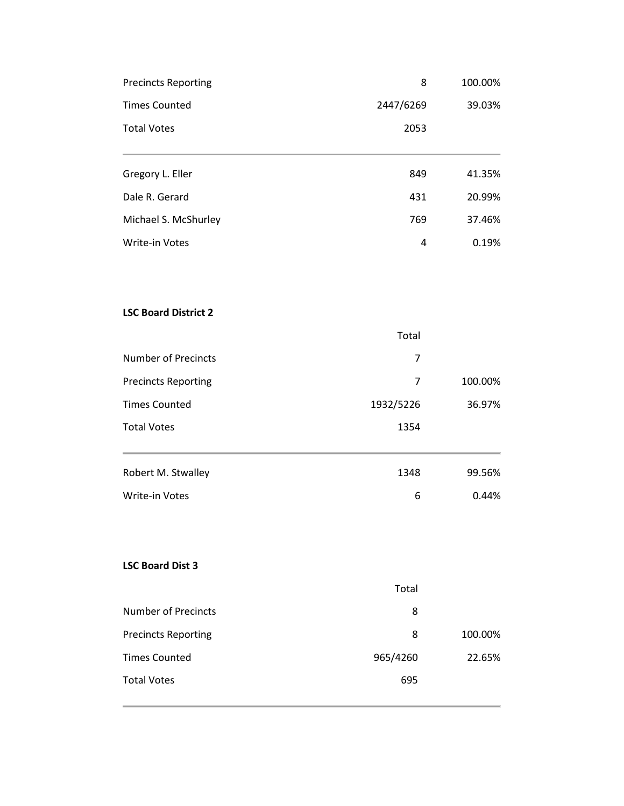| <b>Precincts Reporting</b>  | 8         | 100.00% |
|-----------------------------|-----------|---------|
| <b>Times Counted</b>        | 2447/6269 | 39.03%  |
| <b>Total Votes</b>          | 2053      |         |
| Gregory L. Eller            | 849       | 41.35%  |
| Dale R. Gerard              | 431       | 20.99%  |
| Michael S. McShurley        | 769       | 37.46%  |
| Write-in Votes              | 4         | 0.19%   |
|                             |           |         |
| <b>LSC Board District 2</b> |           |         |
|                             | Total     |         |
| <b>Number of Precincts</b>  | 7         |         |
| <b>Precincts Reporting</b>  | 7         | 100.00% |
| <b>Times Counted</b>        | 1932/5226 | 36.97%  |
| <b>Total Votes</b>          | 1354      |         |
| Robert M. Stwalley          | 1348      | 99.56%  |
| Write-in Votes              | 6         | 0.44%   |
|                             |           |         |
| <b>LSC Board Dist 3</b>     |           |         |
|                             | Total     |         |
| <b>Number of Precincts</b>  | 8         |         |
| <b>Precincts Reporting</b>  | 8         | 100.00% |
| <b>Times Counted</b>        | 965/4260  | 22.65%  |
| <b>Total Votes</b>          | 695       |         |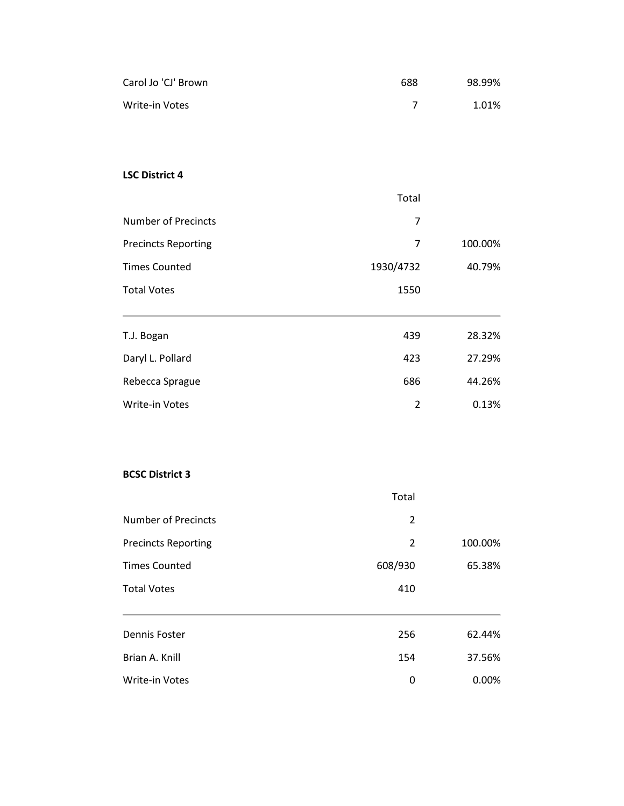| Carol Jo 'CJ' Brown        | 688            | 98.99%  |
|----------------------------|----------------|---------|
| Write-in Votes             | $\overline{7}$ | 1.01%   |
|                            |                |         |
|                            |                |         |
| <b>LSC District 4</b>      |                |         |
|                            | Total          |         |
| Number of Precincts        | 7              |         |
| <b>Precincts Reporting</b> | $\overline{7}$ | 100.00% |
| <b>Times Counted</b>       | 1930/4732      | 40.79%  |
| <b>Total Votes</b>         | 1550           |         |
| T.J. Bogan                 | 439            | 28.32%  |
| Daryl L. Pollard           | 423            | 27.29%  |
| Rebecca Sprague            | 686            | 44.26%  |
| Write-in Votes             | $\overline{2}$ | 0.13%   |
|                            |                |         |
| <b>BCSC District 3</b>     |                |         |
|                            | Total          |         |
| <b>Number of Precincts</b> | $\overline{2}$ |         |
| <b>Precincts Reporting</b> | $\overline{2}$ | 100.00% |
| <b>Times Counted</b>       | 608/930        | 65.38%  |
| <b>Total Votes</b>         | 410            |         |
| Dennis Foster              | 256            | 62.44%  |
| Brian A. Knill             | 154            | 37.56%  |

Write-in Votes **0 0.00%** 0 0.00%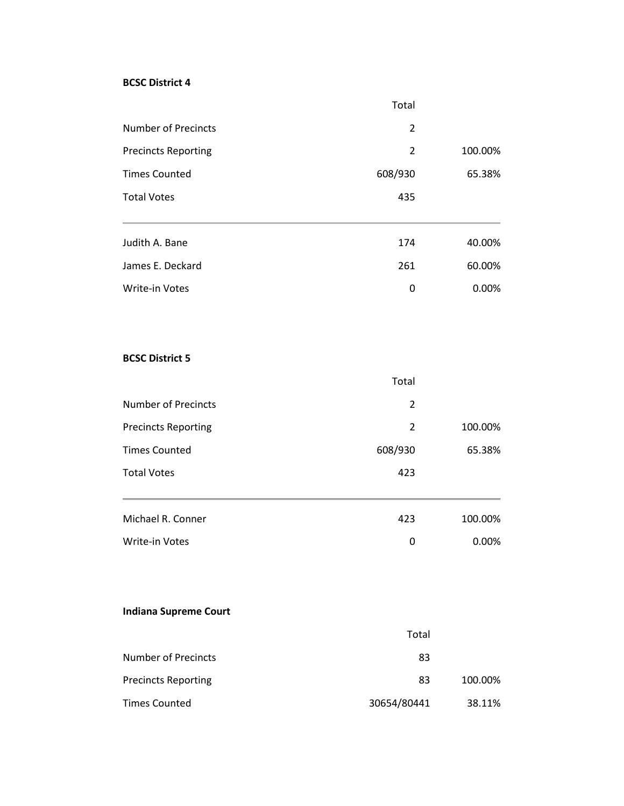#### **BCSC District 4**

|                            | Total   |         |
|----------------------------|---------|---------|
| Number of Precincts        | 2       |         |
| <b>Precincts Reporting</b> | 2       | 100.00% |
| <b>Times Counted</b>       | 608/930 | 65.38%  |
| <b>Total Votes</b>         | 435     |         |
| Judith A. Bane             | 174     | 40.00%  |
| James E. Deckard           | 261     | 60.00%  |
| <b>Write-in Votes</b>      | 0       | 0.00%   |

#### **BCSC District 5**

|                            | Total   |         |
|----------------------------|---------|---------|
| <b>Number of Precincts</b> | 2       |         |
| <b>Precincts Reporting</b> | 2       | 100.00% |
| <b>Times Counted</b>       | 608/930 | 65.38%  |
| <b>Total Votes</b>         | 423     |         |
|                            |         |         |
| Michael R. Conner          | 423     | 100.00% |
| <b>Write-in Votes</b>      | 0       | 0.00%   |

# **Indiana Supreme Court**

|                            | Total       |         |
|----------------------------|-------------|---------|
| <b>Number of Precincts</b> | 83          |         |
| <b>Precincts Reporting</b> | 83          | 100.00% |
| <b>Times Counted</b>       | 30654/80441 | 38.11%  |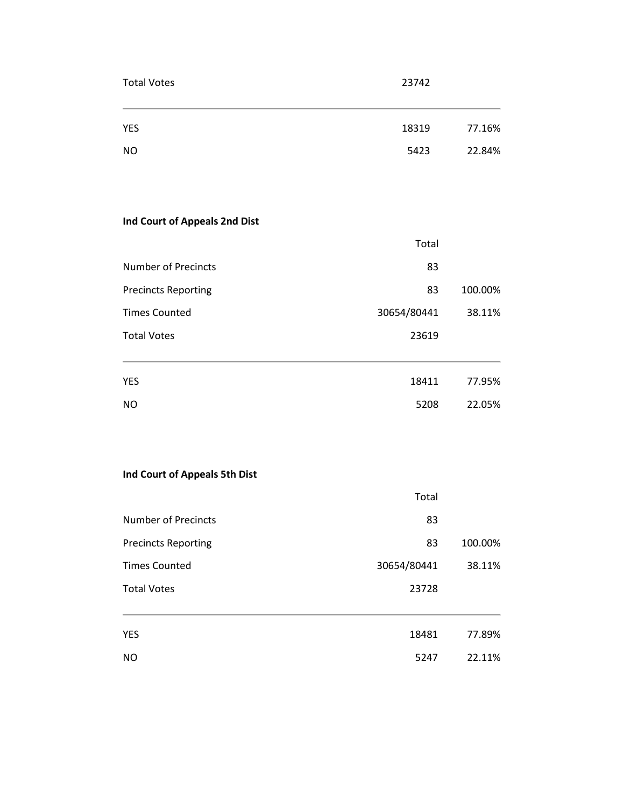| Total Votes | 23742 |
|-------------|-------|
|             |       |

| <b>YES</b> | 18319 | 77.16% |
|------------|-------|--------|
| <b>NO</b>  | 5423  | 22.84% |

# **Ind Court of Appeals 2nd Dist**

|                            | Total       |         |
|----------------------------|-------------|---------|
| Number of Precincts        | 83          |         |
| <b>Precincts Reporting</b> | 83          | 100.00% |
| <b>Times Counted</b>       | 30654/80441 | 38.11%  |
| <b>Total Votes</b>         | 23619       |         |
|                            |             |         |
| <b>YES</b>                 | 18411       | 77.95%  |
| NO                         | 5208        | 22.05%  |

# **Ind Court of Appeals 5th Dist**

|                            | Total       |         |
|----------------------------|-------------|---------|
| <b>Number of Precincts</b> | 83          |         |
| <b>Precincts Reporting</b> | 83          | 100.00% |
| <b>Times Counted</b>       | 30654/80441 | 38.11%  |
| <b>Total Votes</b>         | 23728       |         |
|                            |             |         |
| <b>YES</b>                 | 18481       | 77.89%  |
| <b>NO</b>                  | 5247        | 22.11%  |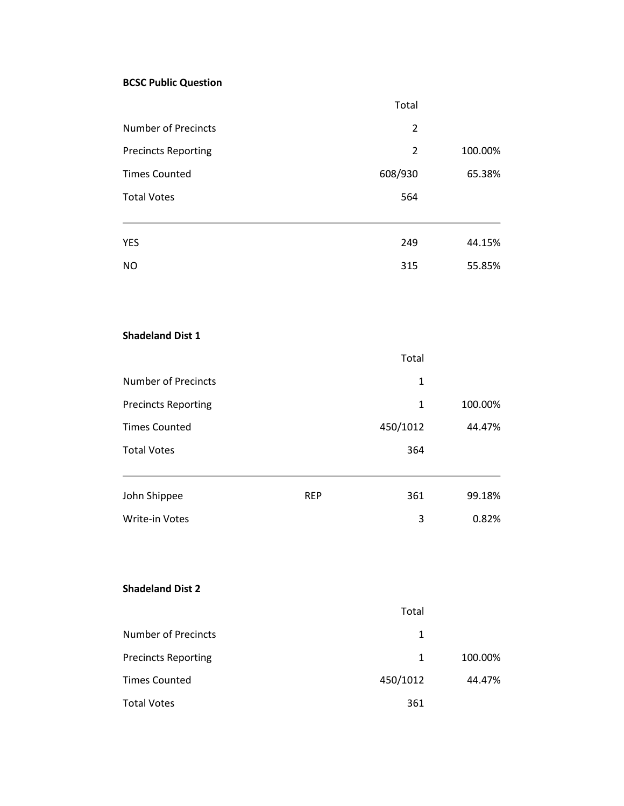#### **BCSC Public Question**

|                            |            | Total          |         |
|----------------------------|------------|----------------|---------|
| <b>Number of Precincts</b> |            | $\overline{2}$ |         |
| <b>Precincts Reporting</b> |            | $\overline{2}$ | 100.00% |
| <b>Times Counted</b>       |            | 608/930        | 65.38%  |
| <b>Total Votes</b>         |            | 564            |         |
| YES                        |            | 249            | 44.15%  |
| <b>NO</b>                  |            | 315            | 55.85%  |
| <b>Shadeland Dist 1</b>    |            |                |         |
|                            |            | Total          |         |
| <b>Number of Precincts</b> |            | $\mathbf{1}$   |         |
| <b>Precincts Reporting</b> |            | $\mathbf{1}$   | 100.00% |
| <b>Times Counted</b>       |            | 450/1012       | 44.47%  |
| <b>Total Votes</b>         |            | 364            |         |
| John Shippee               | <b>REP</b> | 361            | 99.18%  |
| Write-in Votes             |            | 3              | 0.82%   |
| <b>Shadeland Dist 2</b>    |            |                |         |
|                            |            | Total          |         |
| <b>Number of Precincts</b> |            | $\mathbf{1}$   |         |
| <b>Precincts Reporting</b> |            | $\mathbf{1}$   | 100.00% |
| <b>Times Counted</b>       |            | 450/1012       | 44.47%  |
| <b>Total Votes</b>         |            | 361            |         |
|                            |            |                |         |